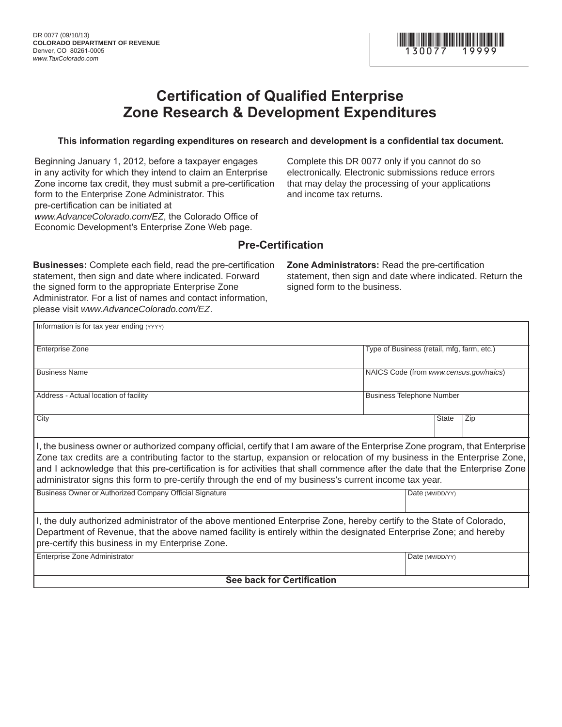

# **Certification of Qualified Enterprise Zone Research & Development Expenditures**

### **This information regarding expenditures on research and development is a confidential tax document.**

Beginning January 1, 2012, before a taxpayer engages in any activity for which they intend to claim an Enterprise Zone income tax credit, they must submit a pre-certification form to the Enterprise Zone Administrator. This pre-certification can be initiated at *www.AdvanceColorado.com/EZ*, the Colorado Office of Economic Development's Enterprise Zone Web page.

Complete this DR 0077 only if you cannot do so electronically. Electronic submissions reduce errors that may delay the processing of your applications and income tax returns.

### **Pre-Certification**

**Businesses:** Complete each field, read the pre-certification statement, then sign and date where indicated. Forward the signed form to the appropriate Enterprise Zone Administrator. For a list of names and contact information, please visit *www.AdvanceColorado.com/EZ*.

**Zone Administrators:** Read the pre-certification statement, then sign and date where indicated. Return the signed form to the business.

| Information is for tax year ending (YYYY)                                                                                                                                                                                                                                                                                                                                                                                                                                                           |  |                                            |              |                 |  |  |  |
|-----------------------------------------------------------------------------------------------------------------------------------------------------------------------------------------------------------------------------------------------------------------------------------------------------------------------------------------------------------------------------------------------------------------------------------------------------------------------------------------------------|--|--------------------------------------------|--------------|-----------------|--|--|--|
| <b>Enterprise Zone</b>                                                                                                                                                                                                                                                                                                                                                                                                                                                                              |  | Type of Business (retail, mfg, farm, etc.) |              |                 |  |  |  |
| Business Name                                                                                                                                                                                                                                                                                                                                                                                                                                                                                       |  | NAICS Code (from www.census.gov/naics)     |              |                 |  |  |  |
| Address - Actual location of facility                                                                                                                                                                                                                                                                                                                                                                                                                                                               |  | <b>Business Telephone Number</b>           |              |                 |  |  |  |
| City                                                                                                                                                                                                                                                                                                                                                                                                                                                                                                |  |                                            | <b>State</b> | Zip             |  |  |  |
| I, the business owner or authorized company official, certify that I am aware of the Enterprise Zone program, that Enterprise<br>Zone tax credits are a contributing factor to the startup, expansion or relocation of my business in the Enterprise Zone,<br>and I acknowledge that this pre-certification is for activities that shall commence after the date that the Enterprise Zone<br>administrator signs this form to pre-certify through the end of my business's current income tax year. |  |                                            |              |                 |  |  |  |
| Business Owner or Authorized Company Official Signature                                                                                                                                                                                                                                                                                                                                                                                                                                             |  |                                            |              | Date (MM/DD/YY) |  |  |  |
| I, the duly authorized administrator of the above mentioned Enterprise Zone, hereby certify to the State of Colorado,<br>Department of Revenue, that the above named facility is entirely within the designated Enterprise Zone; and hereby<br>pre-certify this business in my Enterprise Zone.                                                                                                                                                                                                     |  |                                            |              |                 |  |  |  |
| Enterprise Zone Administrator                                                                                                                                                                                                                                                                                                                                                                                                                                                                       |  | Date (MM/DD/YY)                            |              |                 |  |  |  |
| <b>See back for Certification</b>                                                                                                                                                                                                                                                                                                                                                                                                                                                                   |  |                                            |              |                 |  |  |  |